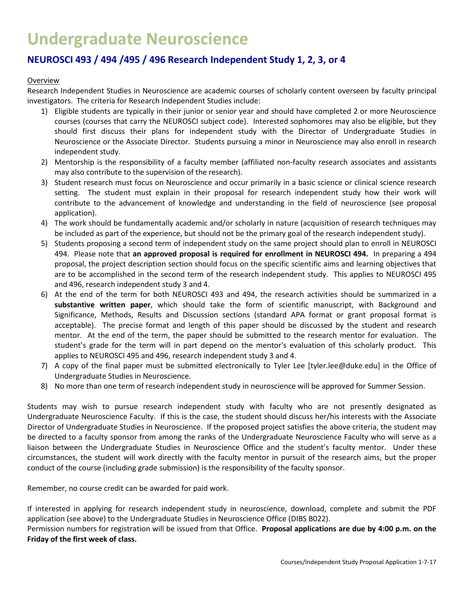# **Undergraduate Neuroscience**

## **NEUROSCI 493 / 494 /495 / 496 Research Independent Study 1, 2, 3, or 4**

#### Overview

Research Independent Studies in Neuroscience are academic courses of scholarly content overseen by faculty principal investigators. The criteria for Research Independent Studies include:

- 1) Eligible students are typically in their junior or senior year and should have completed 2 or more Neuroscience courses (courses that carry the NEUROSCI subject code). Interested sophomores may also be eligible, but they should first discuss their plans for independent study with the Director of Undergraduate Studies in Neuroscience or the Associate Director. Students pursuing a minor in Neuroscience may also enroll in research independent study.
- 2) Mentorship is the responsibility of a faculty member (affiliated non-faculty research associates and assistants may also contribute to the supervision of the research).
- 3) Student research must focus on Neuroscience and occur primarily in a basic science or clinical science research setting. The student must explain in their proposal for research independent study how their work will contribute to the advancement of knowledge and understanding in the field of neuroscience (see proposal application).
- 4) The work should be fundamentally academic and/or scholarly in nature (acquisition of research techniques may be included as part of the experience, but should not be the primary goal of the research independent study).
- 5) Students proposing a second term of independent study on the same project should plan to enroll in NEUROSCI 494. Please note that **an approved proposal is required for enrollment in NEUROSCI 494.** In preparing a 494 proposal, the project description section should focus on the specific scientific aims and learning objectives that are to be accomplished in the second term of the research independent study. This applies to NEUROSCI 495 and 496, research independent study 3 and 4.
- 6) At the end of the term for both NEUROSCI 493 and 494, the research activities should be summarized in a **substantive written paper**, which should take the form of scientific manuscript, with Background and Significance, Methods, Results and Discussion sections (standard APA format or grant proposal format is acceptable). The precise format and length of this paper should be discussed by the student and research mentor. At the end of the term, the paper should be submitted to the research mentor for evaluation. The student's grade for the term will in part depend on the mentor's evaluation of this scholarly product. This applies to NEUROSCI 495 and 496, research independent study 3 and 4.
- 7) A copy of the final paper must be submitted electronically to Tyler Lee [tyler.lee@duke.edu] in the Office of Undergraduate Studies in Neuroscience.
- 8) No more than one term of research independent study in neuroscience will be approved for Summer Session.

Students may wish to pursue research independent study with faculty who are not presently designated as Undergraduate Neuroscience Faculty. If this is the case, the student should discuss her/his interests with the Associate Director of Undergraduate Studies in Neuroscience. If the proposed project satisfies the above criteria, the student may be directed to a faculty sponsor from among the ranks of the Undergraduate Neuroscience Faculty who will serve as a liaison between the Undergraduate Studies in Neuroscience Office and the student's faculty mentor. Under these circumstances, the student will work directly with the faculty mentor in pursuit of the research aims, but the proper conduct of the course (including grade submission) is the responsibility of the faculty sponsor.

Remember, no course credit can be awarded for paid work.

If interested in applying for research independent study in neuroscience, download, complete and submit the PDF application (see above) to the Undergraduate Studies in Neuroscience Office (DIBS B022).

Permission numbers for registration will be issued from that Office. **Proposal applications are due by 4:00 p.m. on the Friday of the first week of class.**